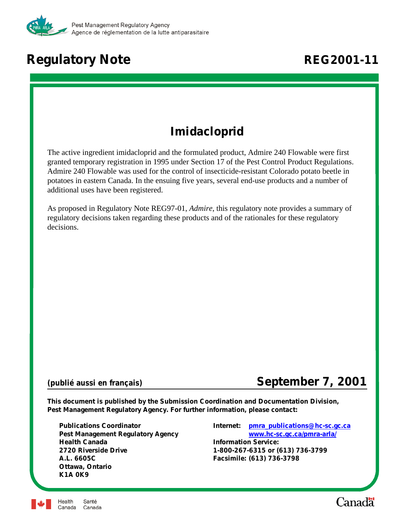

# **Regulatory Note REG2001-11**

## **Imidacloprid**

The active ingredient imidacloprid and the formulated product, Admire 240 Flowable were first granted temporary registration in 1995 under Section 17 of the Pest Control Product Regulations. Admire 240 Flowable was used for the control of insecticide-resistant Colorado potato beetle in potatoes in eastern Canada. In the ensuing five years, several end-use products and a number of additional uses have been registered.

As proposed in Regulatory Note REG97-01, *Admire*, this regulatory note provides a summary of regulatory decisions taken regarding these products and of the rationales for these regulatory decisions.

## *(publié aussi en français)* **September 7, 2001**

**This document is published by the Submission Coordination and Documentation Division, Pest Management Regulatory Agency. For further information, please contact:**

**Health Canada Information Service: 2720 Riverside Drive 1-800-267-6315 or (613) 736-3799 A.L. 6605C Facsimile: (613) 736-3798 Ottawa, Ontario K1A 0K9**

**Publications Coordinator Internet: [pmra\\_publications@hc-sc.gc.ca](mailto:pmra_publications@hc-sc.gc.ca) Pest Management Regulatory Agency [www.hc-sc.gc.ca/pmra-arla/](http://www.hc-sc.gc.ca/pmra-arla/)**



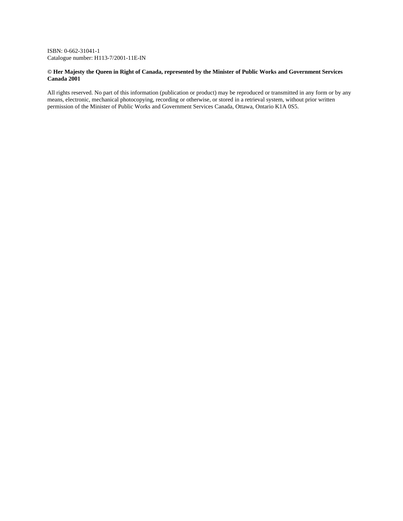ISBN: 0-662-31041-1 Catalogue number: H113-7/2001-11E-IN

#### **© Her Majesty the Queen in Right of Canada, represented by the Minister of Public Works and Government Services Canada 2001**

All rights reserved. No part of this information (publication or product) may be reproduced or transmitted in any form or by any means, electronic, mechanical photocopying, recording or otherwise, or stored in a retrieval system, without prior written permission of the Minister of Public Works and Government Services Canada, Ottawa, Ontario K1A 0S5.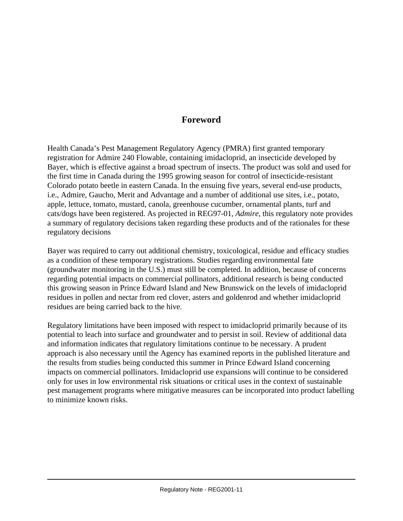#### **Foreword**

Health Canada's Pest Management Regulatory Agency (PMRA) first granted temporary registration for Admire 240 Flowable, containing imidacloprid, an insecticide developed by Bayer, which is effective against a broad spectrum of insects. The product was sold and used for the first time in Canada during the 1995 growing season for control of insecticide-resistant Colorado potato beetle in eastern Canada. In the ensuing five years, several end-use products, i.e., Admire, Gaucho, Merit and Advantage and a number of additional use sites, i.e., potato, apple, lettuce, tomato, mustard, canola, greenhouse cucumber, ornamental plants, turf and cats/dogs have been registered. As projected in REG97-01, *Admire*, this regulatory note provides a summary of regulatory decisions taken regarding these products and of the rationales for these regulatory decisions

Bayer was required to carry out additional chemistry, toxicological, residue and efficacy studies as a condition of these temporary registrations. Studies regarding environmental fate (groundwater monitoring in the U.S.) must still be completed. In addition, because of concerns regarding potential impacts on commercial pollinators, additional research is being conducted this growing season in Prince Edward Island and New Brunswick on the levels of imidacloprid residues in pollen and nectar from red clover, asters and goldenrod and whether imidacloprid residues are being carried back to the hive.

Regulatory limitations have been imposed with respect to imidacloprid primarily because of its potential to leach into surface and groundwater and to persist in soil. Review of additional data and information indicates that regulatory limitations continue to be necessary. A prudent approach is also necessary until the Agency has examined reports in the published literature and the results from studies being conducted this summer in Prince Edward Island concerning impacts on commercial pollinators. Imidacloprid use expansions will continue to be considered only for uses in low environmental risk situations or critical uses in the context of sustainable pest management programs where mitigative measures can be incorporated into product labelling to minimize known risks.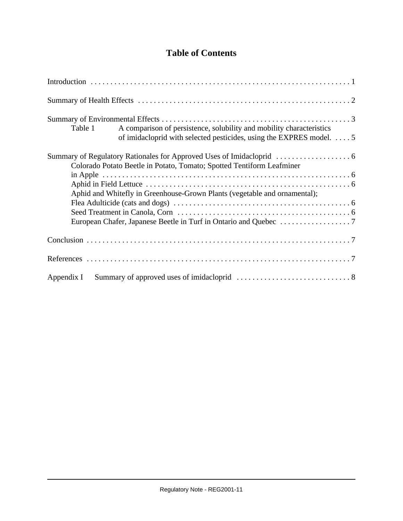## **Table of Contents**

| A comparison of persistence, solubility and mobility characteristics<br>Table 1<br>of imidacloprid with selected pesticides, using the EXPRES model. 5 |  |  |  |  |  |  |
|--------------------------------------------------------------------------------------------------------------------------------------------------------|--|--|--|--|--|--|
| Colorado Potato Beetle in Potato, Tomato; Spotted Tentiform Leafminer                                                                                  |  |  |  |  |  |  |
|                                                                                                                                                        |  |  |  |  |  |  |
| Aphid and Whitefly in Greenhouse-Grown Plants (vegetable and ornamental);                                                                              |  |  |  |  |  |  |
|                                                                                                                                                        |  |  |  |  |  |  |
|                                                                                                                                                        |  |  |  |  |  |  |
| Appendix I                                                                                                                                             |  |  |  |  |  |  |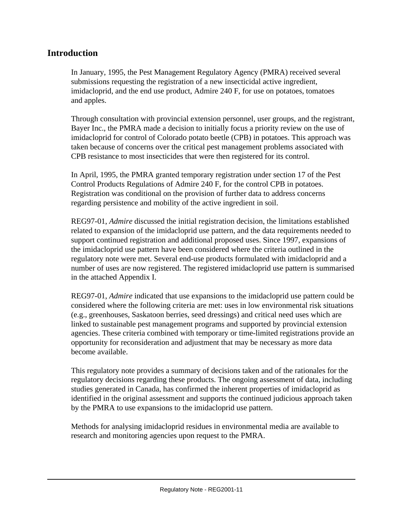#### **Introduction**

In January, 1995, the Pest Management Regulatory Agency (PMRA) received several submissions requesting the registration of a new insecticidal active ingredient, imidacloprid, and the end use product, Admire 240 F, for use on potatoes, tomatoes and apples.

Through consultation with provincial extension personnel, user groups, and the registrant, Bayer Inc., the PMRA made a decision to initially focus a priority review on the use of imidacloprid for control of Colorado potato beetle (CPB) in potatoes. This approach was taken because of concerns over the critical pest management problems associated with CPB resistance to most insecticides that were then registered for its control.

In April, 1995, the PMRA granted temporary registration under section 17 of the Pest Control Products Regulations of Admire 240 F, for the control CPB in potatoes. Registration was conditional on the provision of further data to address concerns regarding persistence and mobility of the active ingredient in soil.

REG97-01, *Admire* discussed the initial registration decision, the limitations established related to expansion of the imidacloprid use pattern, and the data requirements needed to support continued registration and additional proposed uses. Since 1997, expansions of the imidacloprid use pattern have been considered where the criteria outlined in the regulatory note were met. Several end-use products formulated with imidacloprid and a number of uses are now registered. The registered imidacloprid use pattern is summarised in the attached Appendix I.

REG97-01, *Admire* indicated that use expansions to the imidacloprid use pattern could be considered where the following criteria are met: uses in low environmental risk situations (e.g., greenhouses, Saskatoon berries, seed dressings) and critical need uses which are linked to sustainable pest management programs and supported by provincial extension agencies. These criteria combined with temporary or time-limited registrations provide an opportunity for reconsideration and adjustment that may be necessary as more data become available.

This regulatory note provides a summary of decisions taken and of the rationales for the regulatory decisions regarding these products. The ongoing assessment of data, including studies generated in Canada, has confirmed the inherent properties of imidacloprid as identified in the original assessment and supports the continued judicious approach taken by the PMRA to use expansions to the imidacloprid use pattern.

Methods for analysing imidacloprid residues in environmental media are available to research and monitoring agencies upon request to the PMRA.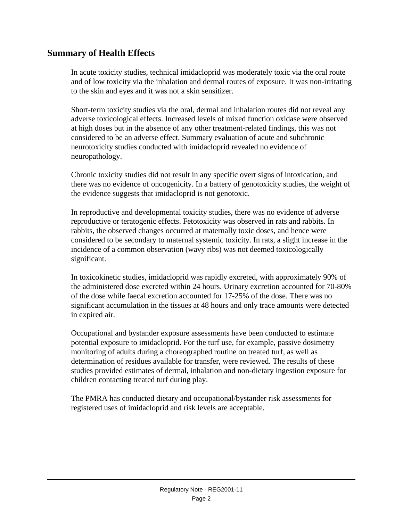### **Summary of Health Effects**

In acute toxicity studies, technical imidacloprid was moderately toxic via the oral route and of low toxicity via the inhalation and dermal routes of exposure. It was non-irritating to the skin and eyes and it was not a skin sensitizer.

Short-term toxicity studies via the oral, dermal and inhalation routes did not reveal any adverse toxicological effects. Increased levels of mixed function oxidase were observed at high doses but in the absence of any other treatment-related findings, this was not considered to be an adverse effect. Summary evaluation of acute and subchronic neurotoxicity studies conducted with imidacloprid revealed no evidence of neuropathology.

Chronic toxicity studies did not result in any specific overt signs of intoxication, and there was no evidence of oncogenicity. In a battery of genotoxicity studies, the weight of the evidence suggests that imidacloprid is not genotoxic.

In reproductive and developmental toxicity studies, there was no evidence of adverse reproductive or teratogenic effects. Fetotoxicity was observed in rats and rabbits. In rabbits, the observed changes occurred at maternally toxic doses, and hence were considered to be secondary to maternal systemic toxicity. In rats, a slight increase in the incidence of a common observation (wavy ribs) was not deemed toxicologically significant.

In toxicokinetic studies, imidacloprid was rapidly excreted, with approximately 90% of the administered dose excreted within 24 hours. Urinary excretion accounted for 70-80% of the dose while faecal excretion accounted for 17-25% of the dose. There was no significant accumulation in the tissues at 48 hours and only trace amounts were detected in expired air.

Occupational and bystander exposure assessments have been conducted to estimate potential exposure to imidacloprid. For the turf use, for example, passive dosimetry monitoring of adults during a choreographed routine on treated turf, as well as determination of residues available for transfer, were reviewed. The results of these studies provided estimates of dermal, inhalation and non-dietary ingestion exposure for children contacting treated turf during play.

The PMRA has conducted dietary and occupational/bystander risk assessments for registered uses of imidacloprid and risk levels are acceptable.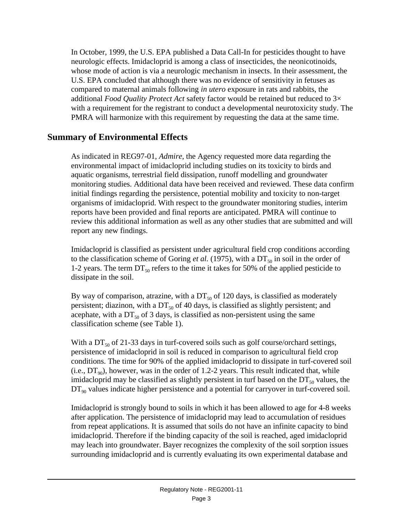In October, 1999, the U.S. EPA published a Data Call-In for pesticides thought to have neurologic effects. Imidacloprid is among a class of insecticides, the neonicotinoids, whose mode of action is via a neurologic mechanism in insects. In their assessment, the U.S. EPA concluded that although there was no evidence of sensitivity in fetuses as compared to maternal animals following *in utero* exposure in rats and rabbits, the additional *Food Quality Protect Act* safety factor would be retained but reduced to 3× with a requirement for the registrant to conduct a developmental neurotoxicity study. The PMRA will harmonize with this requirement by requesting the data at the same time.

#### **Summary of Environmental Effects**

As indicated in REG97-01, *Admire*, the Agency requested more data regarding the environmental impact of imidacloprid including studies on its toxicity to birds and aquatic organisms, terrestrial field dissipation, runoff modelling and groundwater monitoring studies. Additional data have been received and reviewed. These data confirm initial findings regarding the persistence, potential mobility and toxicity to non-target organisms of imidacloprid. With respect to the groundwater monitoring studies, interim reports have been provided and final reports are anticipated. PMRA will continue to review this additional information as well as any other studies that are submitted and will report any new findings.

Imidacloprid is classified as persistent under agricultural field crop conditions according to the classification scheme of Goring *et al.* (1975), with a  $DT_{50}$  in soil in the order of 1-2 years. The term  $DT_{50}$  refers to the time it takes for 50% of the applied pesticide to dissipate in the soil.

By way of comparison, atrazine, with a  $DT<sub>50</sub>$  of 120 days, is classified as moderately persistent; diazinon, with a  $DT_{50}$  of 40 days, is classified as slightly persistent; and acephate, with a  $DT_{50}$  of 3 days, is classified as non-persistent using the same classification scheme (see Table 1).

With a  $DT_{50}$  of 21-33 days in turf-covered soils such as golf course/orchard settings, persistence of imidacloprid in soil is reduced in comparison to agricultural field crop conditions. The time for 90% of the applied imidacloprid to dissipate in turf-covered soil (i.e.,  $DT_{90}$ ), however, was in the order of 1.2-2 years. This result indicated that, while imidacloprid may be classified as slightly persistent in turf based on the  $DT_{50}$  values, the  $DT_{90}$  values indicate higher persistence and a potential for carryover in turf-covered soil.

Imidacloprid is strongly bound to soils in which it has been allowed to age for 4-8 weeks after application. The persistence of imidacloprid may lead to accumulation of residues from repeat applications. It is assumed that soils do not have an infinite capacity to bind imidacloprid. Therefore if the binding capacity of the soil is reached, aged imidacloprid may leach into groundwater. Bayer recognizes the complexity of the soil sorption issues surrounding imidacloprid and is currently evaluating its own experimental database and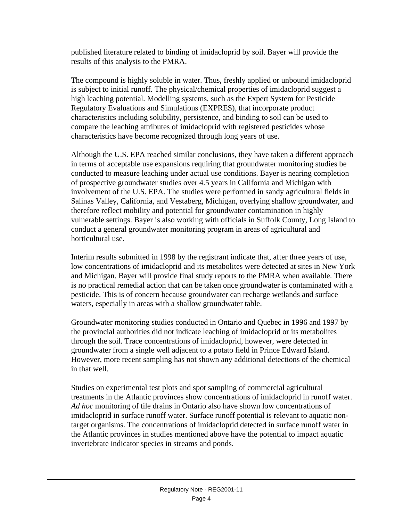published literature related to binding of imidacloprid by soil. Bayer will provide the results of this analysis to the PMRA.

The compound is highly soluble in water. Thus, freshly applied or unbound imidacloprid is subject to initial runoff. The physical/chemical properties of imidacloprid suggest a high leaching potential. Modelling systems, such as the Expert System for Pesticide Regulatory Evaluations and Simulations (EXPRES), that incorporate product characteristics including solubility, persistence, and binding to soil can be used to compare the leaching attributes of imidacloprid with registered pesticides whose characteristics have become recognized through long years of use.

Although the U.S. EPA reached similar conclusions, they have taken a different approach in terms of acceptable use expansions requiring that groundwater monitoring studies be conducted to measure leaching under actual use conditions. Bayer is nearing completion of prospective groundwater studies over 4.5 years in California and Michigan with involvement of the U.S. EPA. The studies were performed in sandy agricultural fields in Salinas Valley, California, and Vestaberg, Michigan, overlying shallow groundwater, and therefore reflect mobility and potential for groundwater contamination in highly vulnerable settings. Bayer is also working with officials in Suffolk County, Long Island to conduct a general groundwater monitoring program in areas of agricultural and horticultural use.

Interim results submitted in 1998 by the registrant indicate that, after three years of use, low concentrations of imidacloprid and its metabolites were detected at sites in New York and Michigan. Bayer will provide final study reports to the PMRA when available. There is no practical remedial action that can be taken once groundwater is contaminated with a pesticide. This is of concern because groundwater can recharge wetlands and surface waters, especially in areas with a shallow groundwater table.

Groundwater monitoring studies conducted in Ontario and Quebec in 1996 and 1997 by the provincial authorities did not indicate leaching of imidacloprid or its metabolites through the soil. Trace concentrations of imidacloprid, however, were detected in groundwater from a single well adjacent to a potato field in Prince Edward Island. However, more recent sampling has not shown any additional detections of the chemical in that well.

Studies on experimental test plots and spot sampling of commercial agricultural treatments in the Atlantic provinces show concentrations of imidacloprid in runoff water. *Ad hoc* monitoring of tile drains in Ontario also have shown low concentrations of imidacloprid in surface runoff water. Surface runoff potential is relevant to aquatic nontarget organisms. The concentrations of imidacloprid detected in surface runoff water in the Atlantic provinces in studies mentioned above have the potential to impact aquatic invertebrate indicator species in streams and ponds.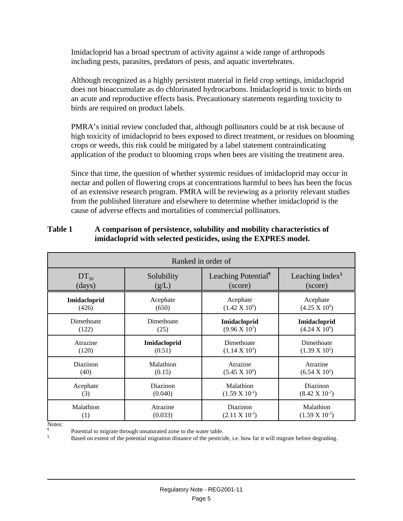Imidacloprid has a broad spectrum of activity against a wide range of arthropods including pests, parasites, predators of pests, and aquatic invertebrates.

Although recognized as a highly persistent material in field crop settings, imidacloprid does not bioaccumulate as do chlorinated hydrocarbons. Imidacloprid is toxic to birds on an acute and reproductive effects basis. Precautionary statements regarding toxicity to birds are required on product labels.

PMRA's initial review concluded that, although pollinators could be at risk because of high toxicity of imidacloprid to bees exposed to direct treatment, or residues on blooming crops or weeds, this risk could be mitigated by a label statement contraindicating application of the product to blooming crops when bees are visiting the treatment area.

Since that time, the question of whether systemic residues of imidacloprid may occur in nectar and pollen of flowering crops at concentrations harmful to bees has been the focus of an extensive research program. PMRA will be reviewing as a priority relevant studies from the published literature and elsewhere to determine whether imidacloprid is the cause of adverse effects and mortalities of commercial pollinators.

| Ranked in order of |                     |                                 |                             |  |  |  |
|--------------------|---------------------|---------------------------------|-----------------------------|--|--|--|
| $DT_{50}$          | Solubility          | Leaching Potential <sup>1</sup> | Leaching Index <sup>§</sup> |  |  |  |
| (days)             | (g/L)               | (score)                         | (score)                     |  |  |  |
| Imidacloprid       | Acephate            | Acephate                        | Acephate                    |  |  |  |
| (426)              | (650)               | $(1.42 \text{ X } 10^6)$        | $(4.25 \times 10^6)$        |  |  |  |
| Dimethoate         | Dimethoate          | Imidacloprid                    | Imidacloprid                |  |  |  |
| (122)              | (25)                | $(9.96 \times 10^3)$            | $(4.24 \text{ X } 10^6)$    |  |  |  |
| Atrazine           | <b>Imidacloprid</b> | Dimethoate                      | Dimethoate                  |  |  |  |
| (120)              | (0.51)              | $(1.14 \text{ X } 10^3)$        | $(1.39 \text{ X } 10^5)$    |  |  |  |
| Diazinon           | Malathion           | Atrazine                        | Atrazine                    |  |  |  |
| (40)               | (0.15)              | $(5.45 \times 10^0)$            | $(6.54 \times 10^2)$        |  |  |  |
| Acephate           | Diazinon            | Malathion                       | Diazinon                    |  |  |  |
| (3)                | (0.040)             | $(1.59 \text{ X } 10^{2})$      | $(8.42 \text{ X } 10^{-2})$ |  |  |  |
| Malathion          | Atrazine            | Diazinon                        | Malathion                   |  |  |  |
| (1)                | (0.033)             | $(2.11 \text{ X } 10^{-3})$     | $(1.59 \text{ X } 10^{2})$  |  |  |  |

#### **Table 1 A comparison of persistence, solubility and mobility characteristics of imidacloprid with selected pesticides, using the EXPRES model.**

Notes:

<sup>1</sup> Potential to migrate through unsaturated zone to the water table.

Based on extent of the potential migration distance of the pesticide, i.e. how far it will migrate before degrading.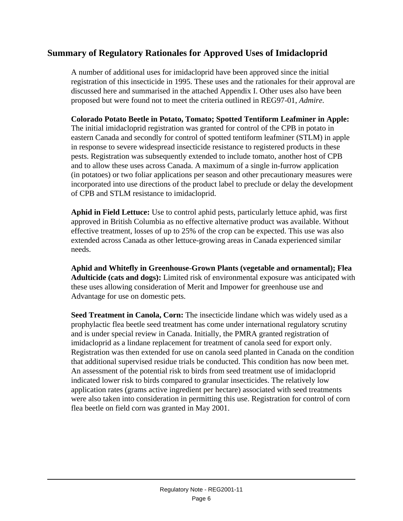### **Summary of Regulatory Rationales for Approved Uses of Imidacloprid**

A number of additional uses for imidacloprid have been approved since the initial registration of this insecticide in 1995. These uses and the rationales for their approval are discussed here and summarised in the attached Appendix I. Other uses also have been proposed but were found not to meet the criteria outlined in REG97-01, *Admire*.

**Colorado Potato Beetle in Potato, Tomato; Spotted Tentiform Leafminer in Apple:** The initial imidacloprid registration was granted for control of the CPB in potato in eastern Canada and secondly for control of spotted tentiform leafminer (STLM) in apple in response to severe widespread insecticide resistance to registered products in these pests. Registration was subsequently extended to include tomato, another host of CPB and to allow these uses across Canada. A maximum of a single in-furrow application (in potatoes) or two foliar applications per season and other precautionary measures were incorporated into use directions of the product label to preclude or delay the development of CPB and STLM resistance to imidacloprid.

**Aphid in Field Lettuce:** Use to control aphid pests, particularly lettuce aphid, was first approved in British Columbia as no effective alternative product was available. Without effective treatment, losses of up to 25% of the crop can be expected. This use was also extended across Canada as other lettuce-growing areas in Canada experienced similar needs.

**Aphid and Whitefly in Greenhouse-Grown Plants (vegetable and ornamental); Flea Adulticide (cats and dogs):** Limited risk of environmental exposure was anticipated with these uses allowing consideration of Merit and Impower for greenhouse use and Advantage for use on domestic pets.

**Seed Treatment in Canola, Corn:** The insecticide lindane which was widely used as a prophylactic flea beetle seed treatment has come under international regulatory scrutiny and is under special review in Canada. Initially, the PMRA granted registration of imidacloprid as a lindane replacement for treatment of canola seed for export only. Registration was then extended for use on canola seed planted in Canada on the condition that additional supervised residue trials be conducted. This condition has now been met. An assessment of the potential risk to birds from seed treatment use of imidacloprid indicated lower risk to birds compared to granular insecticides. The relatively low application rates (grams active ingredient per hectare) associated with seed treatments were also taken into consideration in permitting this use. Registration for control of corn flea beetle on field corn was granted in May 2001.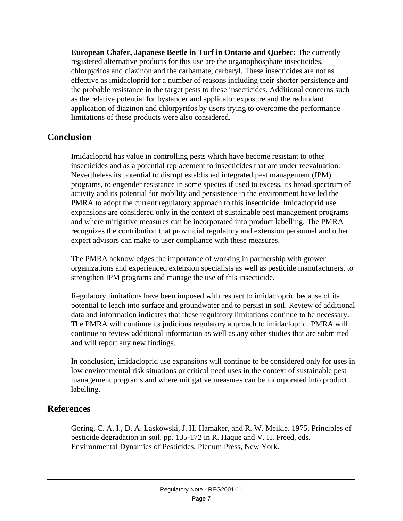**European Chafer, Japanese Beetle in Turf in Ontario and Quebec:** The currently registered alternative products for this use are the organophosphate insecticides, chlorpyrifos and diazinon and the carbamate, carbaryl. These insecticides are not as effective as imidacloprid for a number of reasons including their shorter persistence and the probable resistance in the target pests to these insecticides. Additional concerns such as the relative potential for bystander and applicator exposure and the redundant application of diazinon and chlorpyrifos by users trying to overcome the performance limitations of these products were also considered.

#### **Conclusion**

Imidacloprid has value in controlling pests which have become resistant to other insecticides and as a potential replacement to insecticides that are under reevaluation. Nevertheless its potential to disrupt established integrated pest management (IPM) programs, to engender resistance in some species if used to excess, its broad spectrum of activity and its potential for mobility and persistence in the environment have led the PMRA to adopt the current regulatory approach to this insecticide. Imidacloprid use expansions are considered only in the context of sustainable pest management programs and where mitigative measures can be incorporated into product labelling. The PMRA recognizes the contribution that provincial regulatory and extension personnel and other expert advisors can make to user compliance with these measures.

The PMRA acknowledges the importance of working in partnership with grower organizations and experienced extension specialists as well as pesticide manufacturers, to strengthen IPM programs and manage the use of this insecticide.

Regulatory limitations have been imposed with respect to imidacloprid because of its potential to leach into surface and groundwater and to persist in soil. Review of additional data and information indicates that these regulatory limitations continue to be necessary. The PMRA will continue its judicious regulatory approach to imidacloprid. PMRA will continue to review additional information as well as any other studies that are submitted and will report any new findings.

In conclusion, imidacloprid use expansions will continue to be considered only for uses in low environmental risk situations or critical need uses in the context of sustainable pest management programs and where mitigative measures can be incorporated into product labelling.

#### **References**

Goring, C. A. I., D. A. Laskowski, J. H. Hamaker, and R. W. Meikle. 1975. Principles of pesticide degradation in soil. pp. 135-172 in R. Haque and V. H. Freed, eds. Environmental Dynamics of Pesticides. Plenum Press, New York.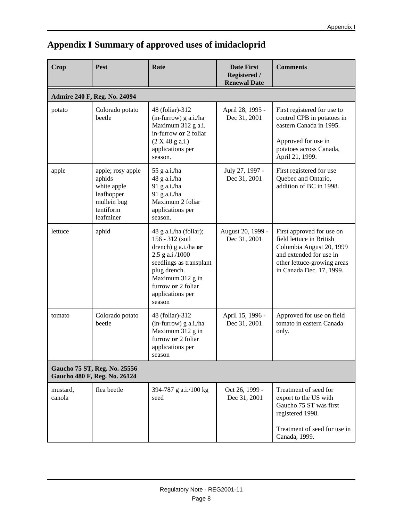| Crop                                                         | <b>Pest</b>                                                                                       | Rate                                                                                                                                                                                                    | <b>Date First</b><br><b>Registered /</b><br><b>Renewal Date</b> | <b>Comments</b>                                                                                                                                                         |  |  |  |
|--------------------------------------------------------------|---------------------------------------------------------------------------------------------------|---------------------------------------------------------------------------------------------------------------------------------------------------------------------------------------------------------|-----------------------------------------------------------------|-------------------------------------------------------------------------------------------------------------------------------------------------------------------------|--|--|--|
|                                                              | Admire 240 F, Reg. No. 24094                                                                      |                                                                                                                                                                                                         |                                                                 |                                                                                                                                                                         |  |  |  |
| potato                                                       | Colorado potato<br>beetle                                                                         | 48 (foliar)-312<br>(in-furrow) g a.i./ha<br>Maximum 312 g a.i.<br>in-furrow or 2 foliar<br>(2 X 48 g a.i.)<br>applications per<br>season.                                                               | April 28, 1995 -<br>Dec 31, 2001                                | First registered for use to<br>control CPB in potatoes in<br>eastern Canada in 1995.<br>Approved for use in<br>potatoes across Canada,<br>April 21, 1999.               |  |  |  |
| apple                                                        | apple; rosy apple<br>aphids<br>white apple<br>leafhopper<br>mullein bug<br>tentiform<br>leafminer | 55 g a.i./ha<br>48 g a.i./ha<br>91 g a.i./ha<br>91 g a.i./ha<br>Maximum 2 foliar<br>applications per<br>season.                                                                                         | July 27, 1997 -<br>Dec 31, 2001                                 | First registered for use<br>Quebec and Ontario,<br>addition of BC in 1998.                                                                                              |  |  |  |
| lettuce                                                      | aphid                                                                                             | 48 g a.i./ha (foliar);<br>156 - 312 (soil<br>drench) g a.i./ha or<br>2.5 g a.i./1000<br>seedlings as transplant<br>plug drench.<br>Maximum 312 g in<br>furrow or 2 foliar<br>applications per<br>season | August 20, 1999 -<br>Dec 31, 2001                               | First approved for use on<br>field lettuce in British<br>Columbia August 20, 1999<br>and extended for use in<br>other lettuce-growing areas<br>in Canada Dec. 17, 1999. |  |  |  |
| tomato                                                       | Colorado potato<br>beetle                                                                         | 48 (foliar)-312<br>(in-furrow) g a.i./ha<br>Maximum 312 g in<br>furrow or 2 foliar<br>applications per<br>season                                                                                        | April 15, 1996 -<br>Dec 31, 2001                                | Approved for use on field<br>tomato in eastern Canada<br>only.                                                                                                          |  |  |  |
| Gaucho 75 ST, Reg. No. 25556<br>Gaucho 480 F, Reg. No. 26124 |                                                                                                   |                                                                                                                                                                                                         |                                                                 |                                                                                                                                                                         |  |  |  |
| mustard,<br>canola                                           | flea beetle                                                                                       | 394-787 g a.i./100 kg<br>seed                                                                                                                                                                           | Oct 26, 1999 -<br>Dec 31, 2001                                  | Treatment of seed for<br>export to the US with<br>Gaucho 75 ST was first<br>registered 1998.<br>Treatment of seed for use in<br>Canada, 1999.                           |  |  |  |

## **Appendix I Summary of approved uses of imidacloprid**